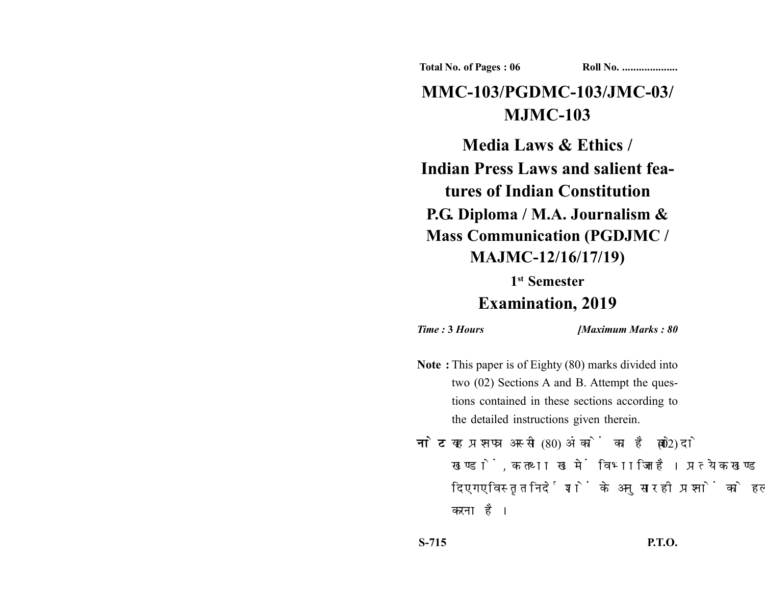**Total No. of Pages : 06 Roll No. ...................** 

# **MMC-103/PGDMC-103/JMC-03/ MJMC-103**

**Media Laws & Ethics / Indian Press Laws and salient features of Indian Constitution P.G. Diploma / M.A. Journalism & Mass Communication (PGDJMC / MAJMC-12/16/17/19)**

> **1st Semester Examination, 2019**

*Time :* **3** *Hours [Maximum Marks : 80*

- **Note :** This paper is of Eighty (80) marks divided into two (02) Sections A and B. Attempt the questions contained in these sections according to the detailed instructions given therein.
- नोट: यह प्रश्नपत्र अस्सी (80) अंकों का है जो दो (02) खण्डों, क तथा ख में विभाजित है। प्रत्येक खण्ड में दिए गए विस्तृत निर्देशों के अनुसार ही प्रश्नों को हल करना है।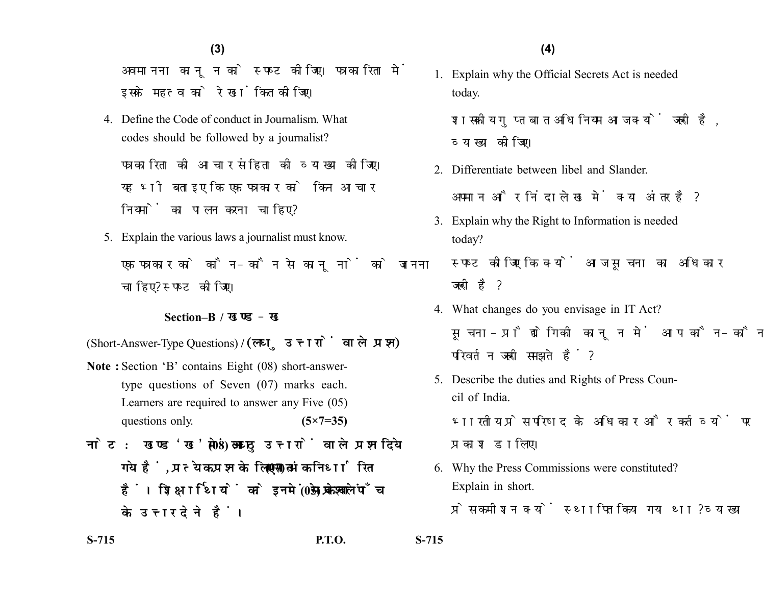**(4)(3)**

अवमानना कानून को स्पष्ट कीजिए। पत्रकारिता में इसके महत्व को रेखांकित कीजिए।

4. Define the Code of conduct in Journalism. What codes should be followed by a journalist?

पत्रकारिता की आचार संहिता की व्याख्या कीजिए। यह भी बताइए कि एक पत्रकार को किन आचार नियमों का पालन करना चाहिए?

5. Explain the various laws a journalist must know. एक पत्रकार को कौन-कौन से कानूनों को जानना चाहिए? स्पष्ट कीजिए।

#### **Section–B /**

(Short-Answer-Type Questions) **/** 

- **Note :** Section 'B' contains Eight (08) short-answertype questions of Seven (07) marks each. Learners are required to answer any Five (05) questions only. **(5×7=35)**
- नोट: खण्ड'ख'में आठ (08) लघु उत्तरों वाले प्रश्न दिये गये हैं, प्रत्येक प्रश्न के लिए सात (07) अंक निर्धारित हैं। शिक्षार्थियों को इनमें से केवल पाँच (05) प्रश्नों के उत्तर देने हैं।

1. Explain why the Official Secrets Act is needed today.

शासकीय गुप्त बात अधिनियम आज क्यों जरूरी है, व्याख्या कोजिए।

- 2. Differentiate between libel and Slander. अपमान और निंदालेख में क्या अंतर है?
- 3. Explain why the Right to Information is needed today?

स्पष्ट कीजिए कि क्यों आज सूचना का अधिकार जरूरी है?

- 4. What changes do you envisage in IT Act? सूचना-प्रौद्योगिकी कानून में आप कौन-कौन से परिवर्तन जरूरी समझते हैं?
- 5. Describe the duties and Rights of Press Council of India.

भारतीय प्रेस परिषद के अधिकार और कर्तव्यों पर प्रकाश डालिए।

6. Why the Press Commissions were constituted? Explain in short.

प्रेस कमीशन क्यों स्थापित किया गया था? व्याख्या